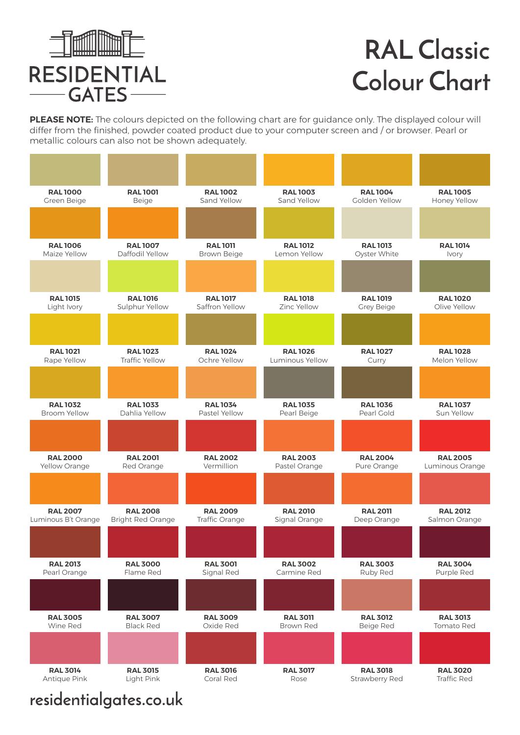

**PLEASE NOTE:** The colours depicted on the following chart are for guidance only. The displayed colour will differ from the finished, powder coated product due to your computer screen and / or browser. Pearl or metallic colours can also not be shown adequately.

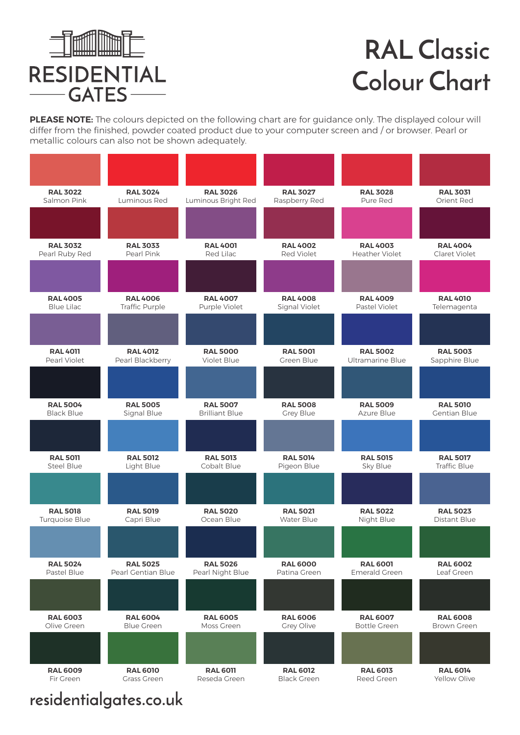

**PLEASE NOTE:** The colours depicted on the following chart are for guidance only. The displayed colour will differ from the finished, powder coated product due to your computer screen and / or browser. Pearl or metallic colours can also not be shown adequately.

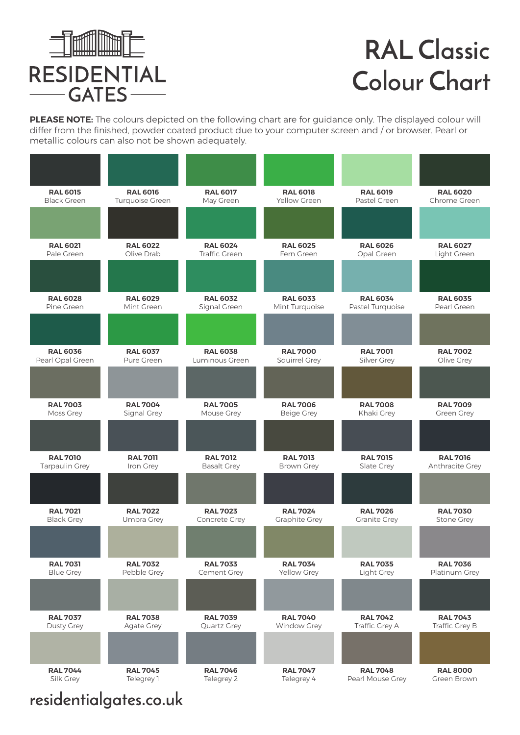

**PLEASE NOTE:** The colours depicted on the following chart are for guidance only. The displayed colour will differ from the finished, powder coated product due to your computer screen and / or browser. Pearl or metallic colours can also not be shown adequately.